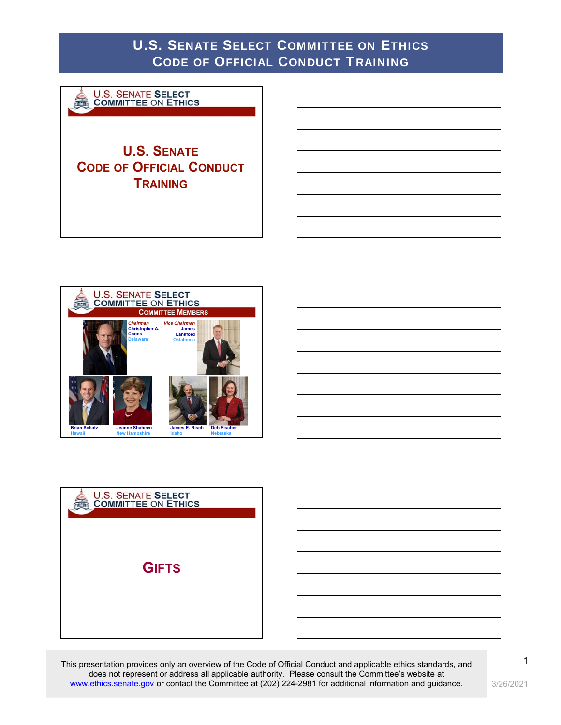



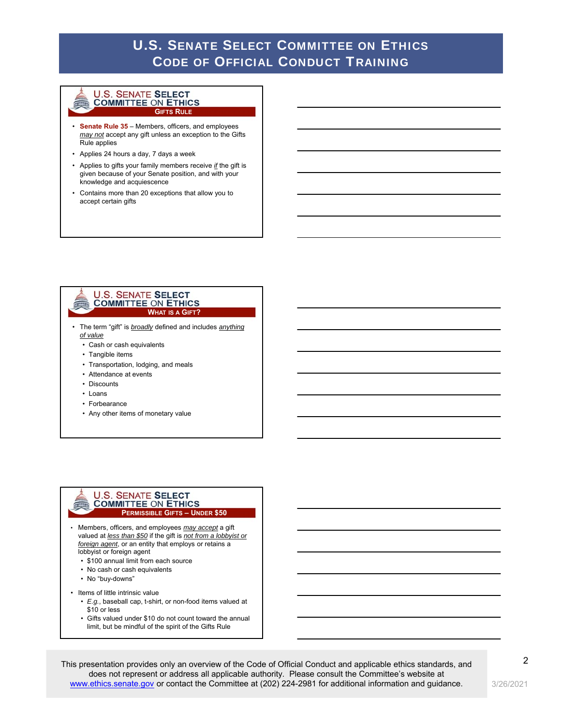#### **U.S. SENATE SELECT COMMITTEE ON ETHICS GIFTS RULE**

- **Senate Rule 35**  Members, officers, and employees *may not* accept any gift unless an exception to the Gifts Rule applies
- Applies 24 hours a day, 7 days a week
- Applies to gifts your family members receive *if* the gift is given because of your Senate position, and with your knowledge and acquiescence
- Contains more than 20 exceptions that allow you to accept certain gifts

#### **U.S. SENATE SELECT COMMITTEE ON ETHICS THE REAL WHAT IS A GIFT?**

- The term "gift" is *broadly* defined and includes *anything of value*
	- Cash or cash equivalents
	- Tangible items
	- Transportation, lodging, and meals
	- Attendance at events
	- Discounts
	- Loans
	- Forbearance
	- Any other items of monetary value

#### **U.S. SENATE SELECT COMMITTEE ON ETHICS PERMISSIBLE GIFTS – UNDER \$50**

- Members, officers, and employees *may accept* a gift valued at *less than \$50* if the gift is *not from a lobbyist or foreign agent*, or an entity that employs or retains a lobbyist or foreign agent
	- \$100 annual limit from each source
	- No cash or cash equivalents
	- No "buy-downs"
- Items of little intrinsic value
	- *E.g.*, baseball cap, t-shirt, or non-food items valued at \$10 or less
	- Gifts valued under \$10 do not count toward the annual limit, but be mindful of the spirit of the Gifts Rule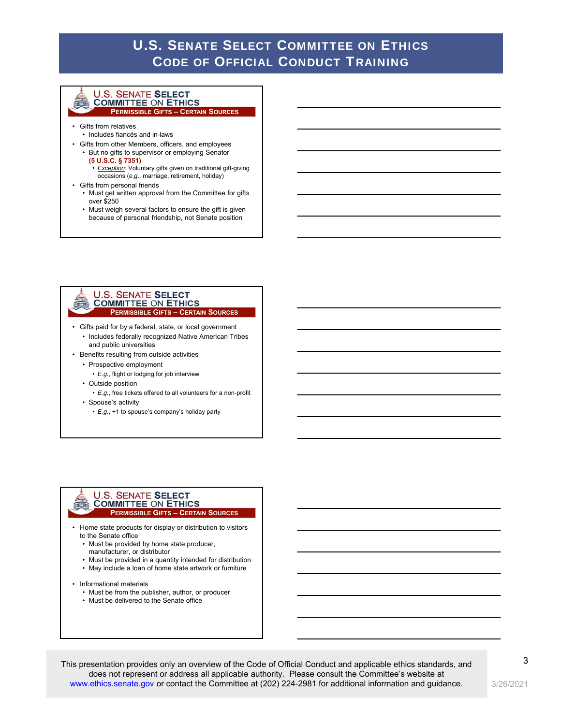#### **U.S. SENATE SELECT COMMITTEE ON ETHICS PERMISSIBLE GIFTS – CERTAIN SOURCES**

- Gifts from relatives • Includes fiancés and in-laws
- Gifts from other Members, officers, and employees
	- But no gifts to supervisor or employing Senator **(5 U.S.C. § 7351)**
		- *Exception*: Voluntary gifts given on traditional gift-giving occasions (*e.g*., marriage, retirement, holiday)
- Gifts from personal friends
	- Must get written approval from the Committee for gifts over \$250
	- Must weigh several factors to ensure the gift is given because of personal friendship, not Senate position

### **U.S. SENATE SELECT COMMITTEE ON ETHICS PERMISSIBLE GIFTS – CERTAIN SOURCES**

- Gifts paid for by a federal, state, or local government
	- Includes federally recognized Native American Tribes and public universities
- Benefits resulting from outside activities
	- Prospective employment
	- *E.g.*, flight or lodging for job interview
	- Outside position
	- *E.g.*, free tickets offered to all volunteers for a non-profit
	- Spouse's activity
		- *E.g.*, +1 to spouse's company's holiday party

#### **U.S. SENATE SELECT COMMITTEE ON ETHICS PERMISSIBLE GIFTS – CERTAIN SOURCES**

- Home state products for display or distribution to visitors to the Senate office
	- Must be provided by home state producer, manufacturer, or distributor
	- Must be provided in a quantity intended for distribution
	- May include a loan of home state artwork or furniture
- Informational materials
	- Must be from the publisher, author, or producer
	- Must be delivered to the Senate office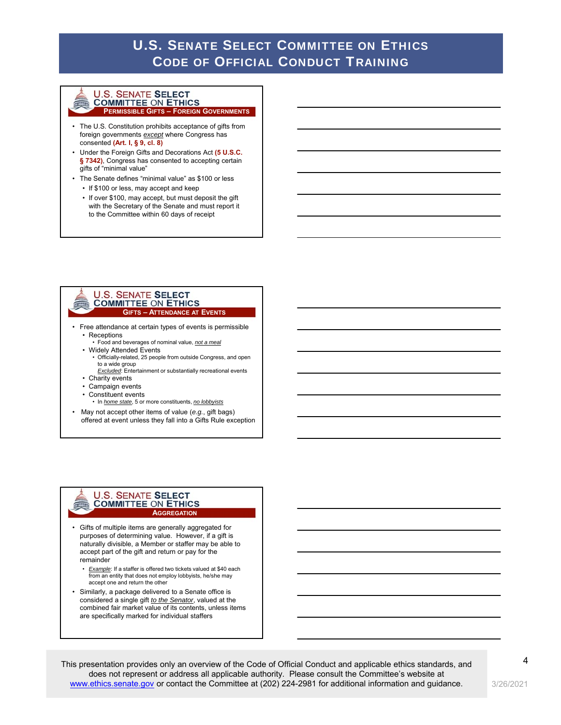#### **U.S. SENATE SELECT COMMITTEE ON ETHICS PERMISSIBLE GIFTS – FOREIGN GOVERNMENTS**

- The U.S. Constitution prohibits acceptance of gifts from foreign governments *except* where Congress has consented **(Art. I, § 9, cl. 8)**
- Under the Foreign Gifts and Decorations Act **(5 U.S.C.**  § 7342), Congress has consented to accepting certain gifts of "minimal value"
- The Senate defines "minimal value" as \$100 or less
- If \$100 or less, may accept and keep
- If over \$100, may accept, but must deposit the gift with the Secretary of the Senate and must report it to the Committee within 60 days of receipt

### **U.S. SENATE SELECT COMMITTEE ON ETHICS GIFTS – ATTENDANCE AT EVENTS**

- Free attendance at certain types of events is permissible • Receptions
	- Food and beverages of nominal value, *not a meal*
	- Widely Attended Events • Officially-related, 25 people from outside Congress, and open to a wide group
	- *Excluded*: Entertainment or substantially recreational events • Charity events
	- Campaign events

**ELECTRIC** 

- Constituent events
- In *home state*, 5 or more constituents, *no lobbyists*
- May not accept other items of value (*e.g.*, gift bags) offered at event unless they fall into a Gifts Rule exception

#### **U.S. SENATE SELECT COMMITTEE ON ETHICS AGGREGATION**

- Gifts of multiple items are generally aggregated for purposes of determining value. However, if a gift is naturally divisible, a Member or staffer may be able to accept part of the gift and return or pay for the remainder
	- *Example*: If a staffer is offered two tickets valued at \$40 each from an entity that does not employ lobbyists, he/she may accept one and return the other
- Similarly, a package delivered to a Senate office is considered a single gift *to the Senator*, valued at the combined fair market value of its contents, unless items are specifically marked for individual staffers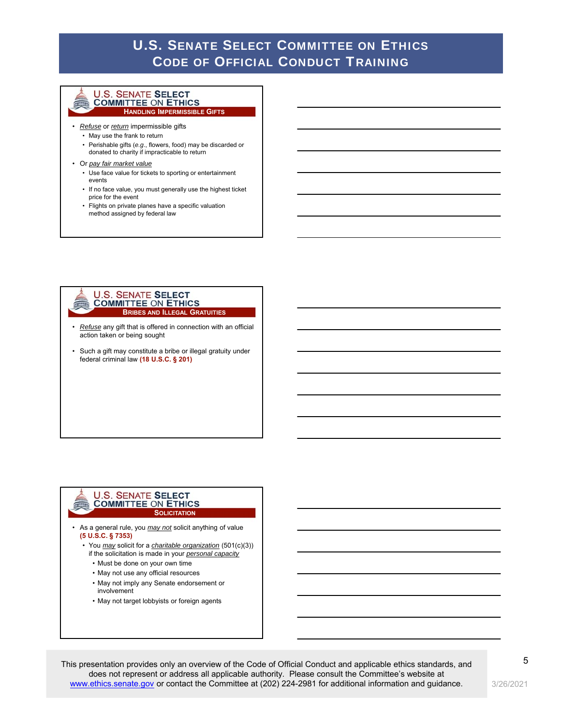#### **U.S. SENATE SELECT COMMITTEE ON ETHICS HANDLING IMPERMISSIBLE GIFTS**

- *Refuse* or *return* impermissible gifts
	- May use the frank to return
	- Perishable gifts (*e.g*., flowers, food) may be discarded or donated to charity if impracticable to return
- Or *pay fair market value* 
	- Use face value for tickets to sporting or entertainment events
	- If no face value, you must generally use the highest ticket price for the event
	- Flights on private planes have a specific valuation method assigned by federal law

#### **U.S. SENATE SELECT COMMITTEE ON ETHICS BRIBES AND ILLEGAL GRATUITIES**

- *Refuse* any gift that is offered in connection with an official action taken or being sought
- Such a gift may constitute a bribe or illegal gratuity under federal criminal law **(18 U.S.C. § 201)**

#### **U.S. SENATE SELECT COMMITTEE ON ETHICS ELECTRIC SOLICITATION**

- As a general rule, you *may not* solicit anything of value **(5 U.S.C. § 7353)**
	- You *may* solicit for a *charitable organization* (501(c)(3)) if the solicitation is made in your *personal capacity*
		- Must be done on your own time
		- May not use any official resources
		- May not imply any Senate endorsement or involvement
		- May not target lobbyists or foreign agents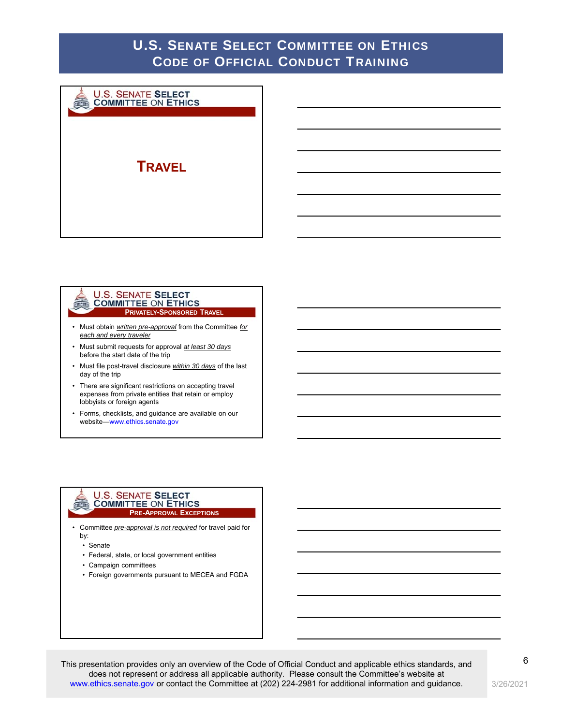

#### **U.S. SENATE SELECT COMMITTEE ON ETHICS AUGUR PRIVATELY-SPONSORED TRAVEL**

- Must obtain *written pre-approval* from the Committee *for each and every traveler*
- Must submit requests for approval *at least 30 days* before the start date of the trip
- Must file post-travel disclosure *within 30 days* of the last day of the trip
- There are significant restrictions on accepting travel expenses from private entities that retain or employ lobbyists or foreign agents
- Forms, checklists, and guidance are available on our website—www.ethics.senate.gov

#### **U.S. SENATE SELECT COMMITTEE ON ETHICS THE REAL PRE-APPROVAL EXCEPTIONS**

- Committee *pre-approval is not required* for travel paid for by:
	- Senate
	- Federal, state, or local government entities
	- Campaign committees
	- Foreign governments pursuant to MECEA and FGDA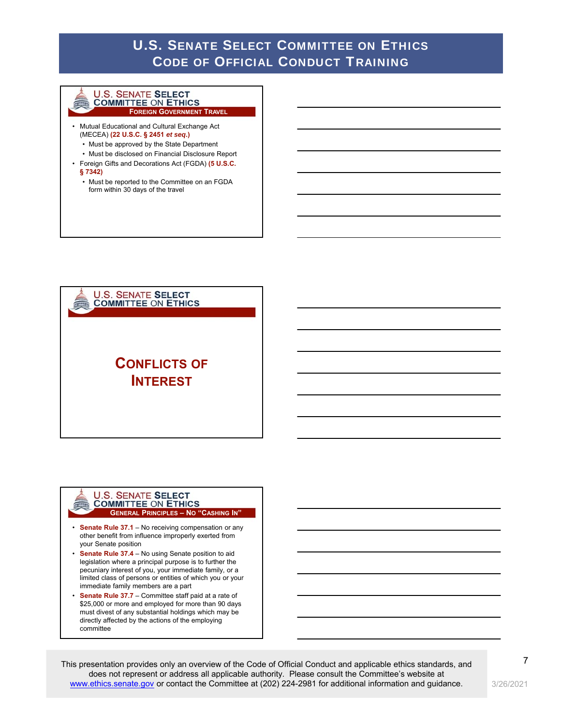#### **U.S. SENATE SELECT COMMITTEE ON ETHICS FOREIGN GOVERNMENT TRAVEL**

- Mutual Educational and Cultural Exchange Act (MECEA) **(22 U.S.C. § 2451** *et seq***.)**
	- Must be approved by the State Department
	- Must be disclosed on Financial Disclosure Report
- Foreign Gifts and Decorations Act (FGDA) **(5 U.S.C.**
- **§ 7342)**
	- Must be reported to the Committee on an FGDA form within 30 days of the travel



### **U.S. SENATE SELECT COMMITTEE ON ETHICS GENERAL PRINCIPLES – NO "CASHING IN"**

- **Senate Rule 37.1** No receiving compensation or any other benefit from influence improperly exerted from your Senate position
- **Senate Rule 37.4** No using Senate position to aid legislation where a principal purpose is to further the pecuniary interest of you, your immediate family, or a limited class of persons or entities of which you or your immediate family members are a part
- **Senate Rule 37.7** Committee staff paid at a rate of \$25,000 or more and employed for more than 90 days must divest of any substantial holdings which may be directly affected by the actions of the employing committee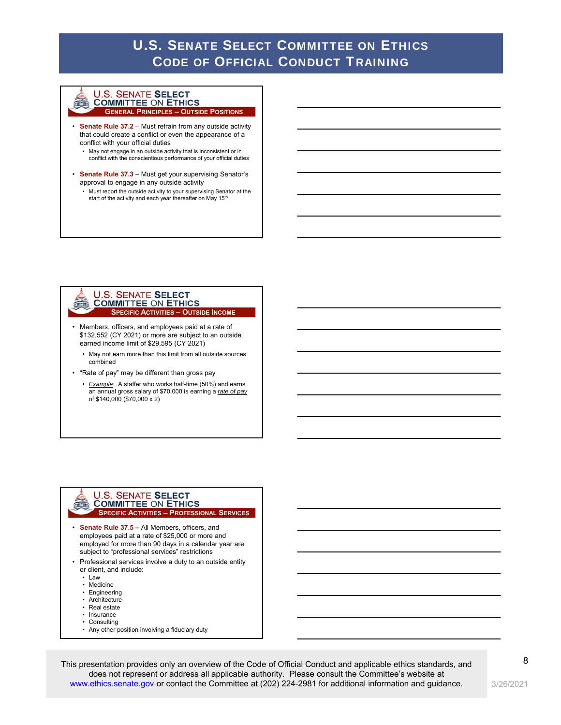#### **U.S. SENATE SELECT COMMITTEE ON ETHICS GENERAL PRINCIPLES – OUTSIDE POSITIONS**

- **Senate Rule 37.2**  Must refrain from any outside activity that could create a conflict or even the appearance of a conflict with your official duties
	- May not engage in an outside activity that is inconsistent or in conflict with the conscientious performance of your official duties
- **Senate Rule 37.3**  Must get your supervising Senator's approval to engage in any outside activity
	- Must report the outside activity to your supervising Senator at the start of the activity and each year thereafter on May 15<sup>th</sup>

#### **U.S. SENATE SELECT COMMITTEE ON ETHICS SPECIFIC ACTIVITIES – OUTSIDE INCOME**

- Members, officers, and employees paid at a rate of \$132,552 (CY 2021) or more are subject to an outside earned income limit of \$29,595 (CY 2021)
	- May not earn more than this limit from all outside sources combined
- "Rate of pay" may be different than gross pay
	- *Example*: A staffer who works half-time (50%) and earns an annual gross salary of \$70,000 is earning a *rate of pay* of \$140,000 (\$70,000 x 2)

#### **U.S. SENATE SELECT COMMITTEE ON ETHICS FOR 1999 SPECIFIC ACTIVITIES – PROFESSIONAL SERVICES**

- **Senate Rule 37.5 –** All Members, officers, and employees paid at a rate of \$25,000 or more and employed for more than 90 days in a calendar year are subject to "professional services" restrictions
- Professional services involve a duty to an outside entity or client, and include:
	- Law

**THE REAL** 

- Medicine
- Engineering
- Architecture
- Real estate
- Insurance • Consulting
- Any other position involving a fiduciary duty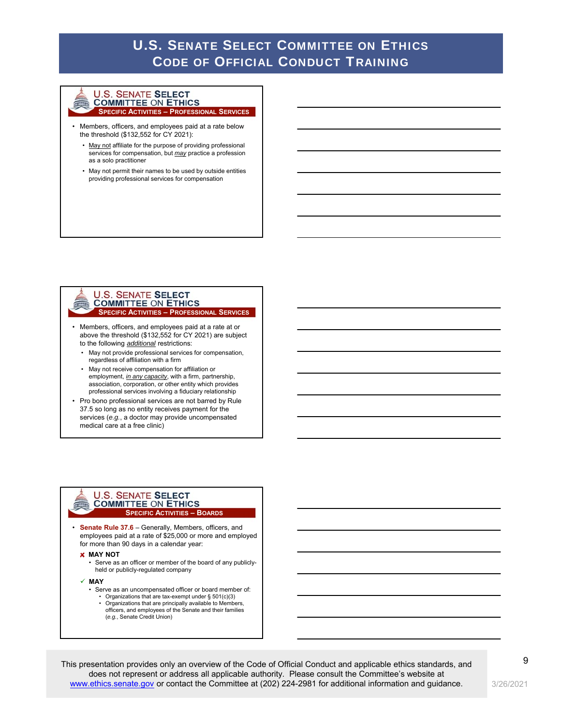#### **U.S. SENATE SELECT COMMITTEE ON ETHICS SPECIFIC ACTIVITIES – PROFESSIONAL SERVICES**

- Members, officers, and employees paid at a rate below the threshold (\$132,552 for CY 2021):
	- May not affiliate for the purpose of providing professional services for compensation, but *may* practice a profession as a solo practitioner
	- May not permit their names to be used by outside entities providing professional services for compensation

#### **U.S. SENATE SELECT COMMITTEE ON ETHICS SPECIFIC ACTIVITIES – PROFESSIONAL SERVICES**

- Members, officers, and employees paid at a rate at or above the threshold (\$132,552 for CY 2021) are subject to the following *additional* restrictions:
	- May not provide professional services for compensation, regardless of affiliation with a firm
	- May not receive compensation for affiliation or employment, *in any capacity*, with a firm, partnership, association, corporation, or other entity which provides professional services involving a fiduciary relationship
- Pro bono professional services are not barred by Rule 37.5 so long as no entity receives payment for the services (*e.g.*, a doctor may provide uncompensated medical care at a free clinic)

#### **U.S. SENATE SELECT COMMITTEE ON ETHICS SPECIFIC ACTIVITIES – BOARDS**

- **Senate Rule 37.6**  Generally, Members, officers, and employees paid at a rate of \$25,000 or more and employed for more than 90 days in a calendar year:
	- **X** MAY NOT
		- Serve as an officer or member of the board of any publiclyheld or publicly-regulated company
	- **MAY**
		- Serve as an uncompensated officer or board member of: • Organizations that are tax-exempt under § 501(c)(3)
			- Organizations that are principally available to Members, officers, and employees of the Senate and their families (*e.g.*, Senate Credit Union)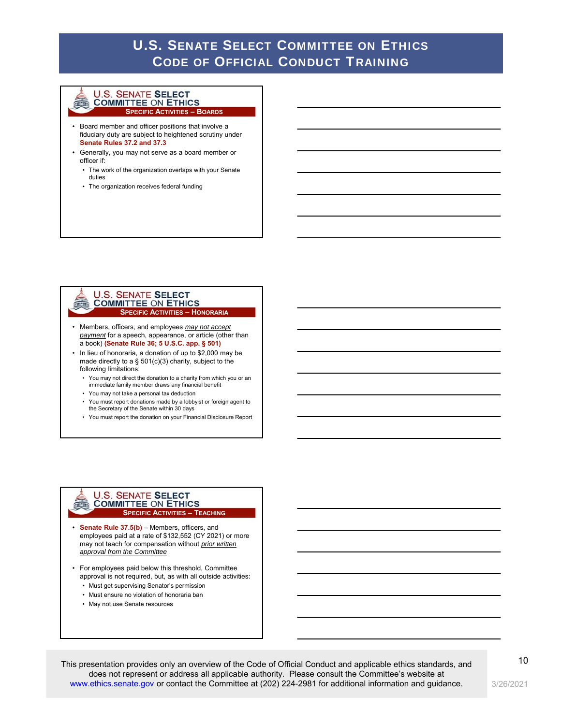#### **U.S. SENATE SELECT COMMITTEE ON ETHICS SPECIFIC ACTIVITIES – BOARDS**

- Board member and officer positions that involve a fiduciary duty are subject to heightened scrutiny under **Senate Rules 37.2 and 37.3**
- Generally, you may not serve as a board member or officer if:
	- The work of the organization overlaps with your Senate duties
	- The organization receives federal funding

### **U.S. SENATE SELECT COMMITTEE ON ETHICS SPECIFIC ACTIVITIES – HONORARIA**

- Members, officers, and employees *may not accept payment* for a speech, appearance, or article (other than a book) **(Senate Rule 36; 5 U.S.C. app. § 501)**
- In lieu of honoraria, a donation of up to \$2,000 may be made directly to a  $\S$  501(c)(3) charity, subject to the following limitations:
	- You may not direct the donation to a charity from which you or an immediate family member draws any financial benefit
	- You may not take a personal tax deduction

**MITALITY** 

**THE REAL** 

- You must report donations made by a lobbyist or foreign agent to the Secretary of the Senate within 30 days
- You must report the donation on your Financial Disclosure Report

#### **U.S. SENATE SELECT COMMITTEE ON ETHICS SPECIFIC ACTIVITIES – TEACHING**

- **Senate Rule 37.5(b)** Members, officers, and employees paid at a rate of \$132,552 (CY 2021) or more may not teach for compensation without *prior written approval from the Committee*
- For employees paid below this threshold, Committee approval is not required, but, as with all outside activities:
	- Must get supervising Senator's permission
	- Must ensure no violation of honoraria ban
	- May not use Senate resources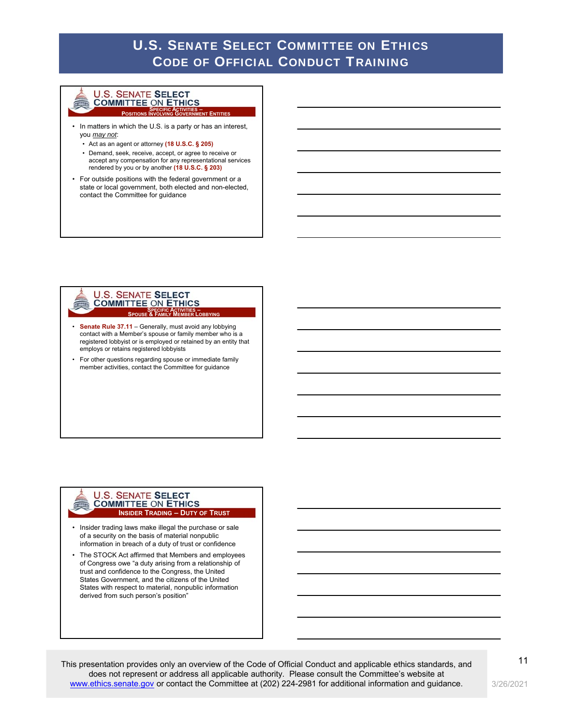#### **U.S. SENATE SELECT COMMITTEE ON ETHICS SPECIFIC ACTIVITIES – POSITIONS INVOLVING GOVERNMENT ENTITIES**

- In matters in which the U.S. is a party or has an interest, you *may not*:
	- Act as an agent or attorney **(18 U.S.C. § 205)**
	- Demand, seek, receive, accept, or agree to receive or accept any compensation for any representational services rendered by you or by another **(18 U.S.C. § 203)**
- For outside positions with the federal government or a state or local government, both elected and non-elected, contact the Committee for guidance

### **U.S. SENATE SELECT SPECIFIC ACTIVITIES – SPOUSE & FAMILY MEMBER LOBBYING**

T

- **Senate Rule 37.11** Generally, must avoid any lobbying contact with a Member's spouse or family member who is a registered lobbyist or is employed or retained by an entity that employs or retains registered lobbyists
- For other questions regarding spouse or immediate family member activities, contact the Committee for guidance

### **U.S. SENATE SELECT COMMITTEE ON ETHICS INSIDER TRADING – DUTY OF TRUST**

- Insider trading laws make illegal the purchase or sale of a security on the basis of material nonpublic information in breach of a duty of trust or confidence
- The STOCK Act affirmed that Members and employees of Congress owe "a duty arising from a relationship of trust and confidence to the Congress, the United States Government, and the citizens of the United States with respect to material, nonpublic information derived from such person's position"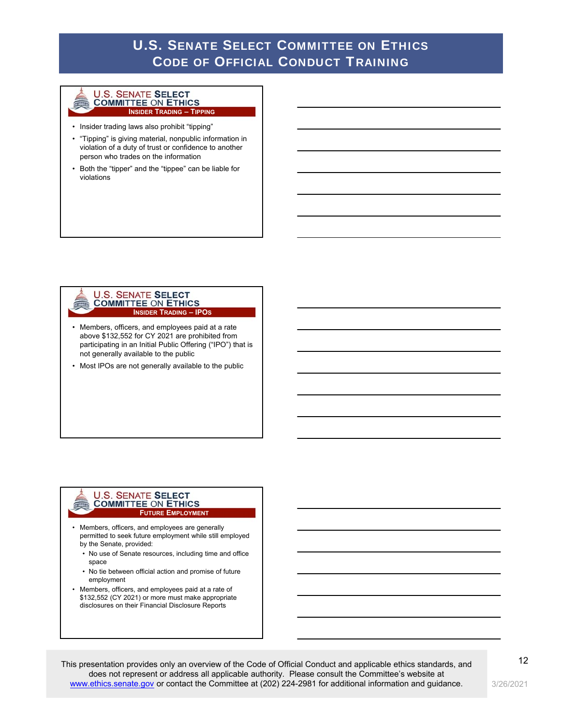#### **U.S. SENATE SELECT COMMITTEE ON ETHICS INSIDER TRADING – TIPPING**

- Insider trading laws also prohibit "tipping"
- "Tipping" is giving material, nonpublic information in violation of a duty of trust or confidence to another person who trades on the information
- Both the "tipper" and the "tippee" can be liable for violations

#### **U.S. SENATE SELECT COMMITTEE ON ETHICS INSIDER TRADING – IPOS**

**MITALITY** 

**ELECTRIC** 

- Members, officers, and employees paid at a rate above \$132,552 for CY 2021 are prohibited from participating in an Initial Public Offering ("IPO") that is not generally available to the public
- Most IPOs are not generally available to the public

#### **U.S. SENATE SELECT COMMITTEE ON ETHICS FUTURE EMPLOYMENT**

- Members, officers, and employees are generally permitted to seek future employment while still employed by the Senate, provided:
	- No use of Senate resources, including time and office space
	- No tie between official action and promise of future employment
- Members, officers, and employees paid at a rate of \$132,552 (CY 2021) or more must make appropriate disclosures on their Financial Disclosure Reports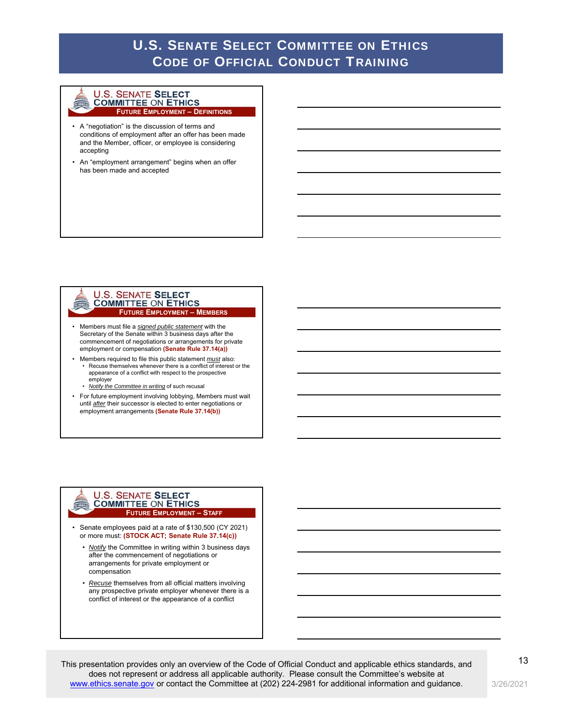#### **U.S. SENATE SELECT COMMITTEE ON ETHICS FUTURE EMPLOYMENT – DEFINITIONS**

- A "negotiation" is the discussion of terms and conditions of employment after an offer has been made and the Member, officer, or employee is considering accepting
- An "employment arrangement" begins when an offer has been made and accepted

### **U.S. SENATE SELECT COMMITTEE ON ETHICS FUTURE EMPLOYMENT – MEMBERS**

- Members must file a *signed public statement* with the Secretary of the Senate within 3 business days after the commencement of negotiations or arrangements for private employment or compensation **(Senate Rule 37.14(a))**
	- Members required to file this public statement *must* also: • Recuse themselves whenever there is a conflict of interest or the appearance of a conflict with respect to the prospective employer
	- *Notify the Committee in writing* of such recusal

**MITALITY** 

• For future employment involving lobbying, Members must wait until *after* their successor is elected to enter negotiations or employment arrangements **(Senate Rule 37.14(b))**

### **U.S. SENATE SELECT COMMITTEE ON ETHICS FUTURE EMPLOYMENT – STAFF**

- Senate employees paid at a rate of \$130,500 (CY 2021) or more must: **(STOCK ACT; Senate Rule 37.14(c))**
	- *Notify* the Committee in writing within 3 business days after the commencement of negotiations or arrangements for private employment or compensation
	- *Recuse* themselves from all official matters involving any prospective private employer whenever there is a conflict of interest or the appearance of a conflict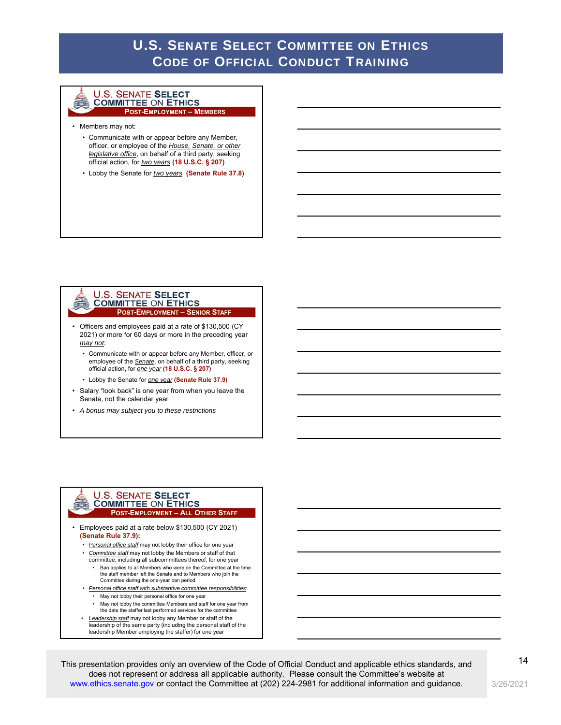#### **U.S. SENATE SELECT COMMITTEE ON ETHICS POST-EMPLOYMENT – MEMBERS**

• Members may not:

**THE REAL** 

- Communicate with or appear before any Member, officer, or employee of the *House, Senate, or other legislative office*, on behalf of a third party, seeking official action, for *two years* **(18 U.S.C. § 207)**
- Lobby the Senate for *two years* **(Senate Rule 37.8)**

#### **U.S. SENATE SELECT COMMITTEE ON ETHICS POST-EMPLOYMENT – SENIOR STAFF**

- Officers and employees paid at a rate of \$130,500 (CY 2021) or more for 60 days or more in the preceding year *may not*:
	- Communicate with or appear before any Member, officer, or employee of the *Senate*, on behalf of a third party, seeking official action, for *one year* **(18 U.S.C. § 207)**
	- Lobby the Senate for *one year* **(Senate Rule 37.9)**
- Salary "look back" is one year from when you leave the Senate, not the calendar year
- *A bonus may subject you to these restrictions*

#### **U.S. SENATE SELECT COMMITTEE ON ETHICS POST-EMPLOYMENT – ALL OTHER STAFF**

- Employees paid at a rate below \$130,500 (CY 2021) **(Senate Rule 37.9):**
	- *Personal office staff* may not lobby their office for one year
	- *Committee staff* may not lobby the Members or staff of that committee, including all subcommittees thereof, for one year
		- Ban applies to all Members who were on the Committee at the time the staff member left the Senate and to Members who join the Committee during the one-year ban period
	- *Personal office staff with substantive committee responsibilities*: • May not lobby their personal office for one year
		- May not lobby the committee Members and staff for one year from the date the staffer last performed services for the committee
	- *Leadership staff* may not lobby any Member or staff of the leadership of the same party (including the personal staff of the leadership Member employing the staffer) for one year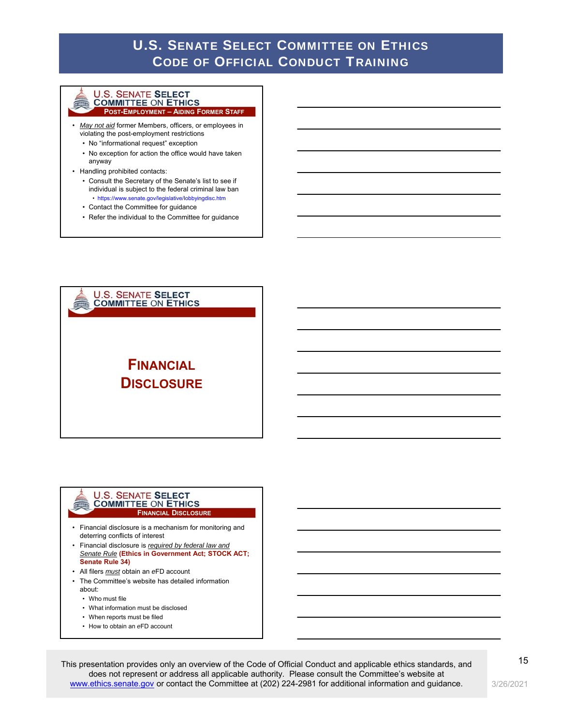#### **U.S. SENATE SELECT COMMITTEE ON ETHICS POST-EMPLOYMENT – AIDING FORMER STAFF**

- *May not aid* former Members, officers, or employees in violating the post-employment restrictions
	- No "informational request" exception
	- No exception for action the office would have taken anyway
- Handling prohibited contacts:
	- Consult the Secretary of the Senate's list to see if individual is subject to the federal criminal law ban • https://www.senate.gov/legislative/lobbyingdisc.htm
	- Contact the Committee for guidance
	- Refer the individual to the Committee for guidance



### **U.S. SENATE SELECT COMMITTEE ON ETHICS FINANCIAL DISCLOSURE**

- Financial disclosure is a mechanism for monitoring and deterring conflicts of interest
- Financial disclosure is *required by federal law and Senate Rule* **(Ethics in Government Act; STOCK ACT; Senate Rule 34)**
- All filers *must* obtain an *e*FD account
- The Committee's website has detailed information about:
	- Who must file

**MARINE** 

- What information must be disclosed
- When reports must be filed
- How to obtain an *e*FD account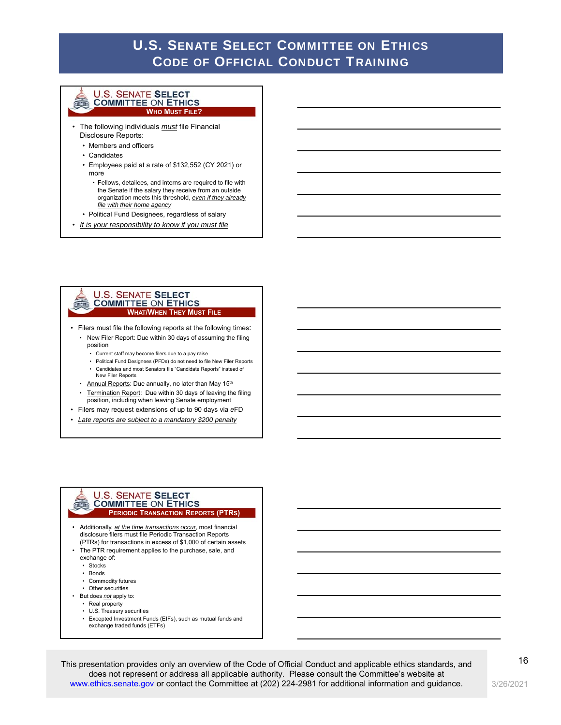#### **U.S. SENATE SELECT COMMITTEE ON ETHICS WHO MUST FILE?**

- The following individuals *must* file Financial Disclosure Reports:
	- Members and officers
	- Candidates
	- Employees paid at a rate of \$132,552 (CY 2021) or more
		- Fellows, detailees, and interns are required to file with the Senate if the salary they receive from an outside organization meets this threshold, *even if they already file with their home agency*
	- Political Fund Designees, regardless of salary
- *It is your responsibility to know if you must file*

#### **U.S. SENATE SELECT COMMITTEE ON ETHICS WHAT/WHEN THEY MUST FILE**

- Filers must file the following reports at the following times:
	- New Filer Report: Due within 30 days of assuming the filing position
		- Current staff may become filers due to a pay raise
		- Political Fund Designees (PFDs) do not need to file New Filer Reports • Candidates and most Senators file "Candidate Reports" instead of New Filer Reports
	- Annual Reports: Due annually, no later than May 15<sup>th</sup>
	- Termination Report: Due within 30 days of leaving the filing position, including when leaving Senate employment
- Filers may request extensions of up to 90 days via *e*FD
- *Late reports are subject to a mandatory \$200 penalty*

#### **U.S. SENATE SELECT COMMITTEE ON ETHICS PERIODIC TRANSACTION REPORTS (PTRS)**

- Additionally, *at the time transactions occur*, most financial disclosure filers must file Periodic Transaction Reports (PTRs) for transactions in excess of \$1,000 of certain assets
- The PTR requirement applies to the purchase, sale, and exchange of:
	- Stocks
	- Bonds

**THE REAL** 

- Commodity futures
- Other securities
- But does *not* apply to:
	- Real property
	- U.S. Treasury securities
	- Excepted Investment Funds (EIFs), such as mutual funds and exchange traded funds (ETFs)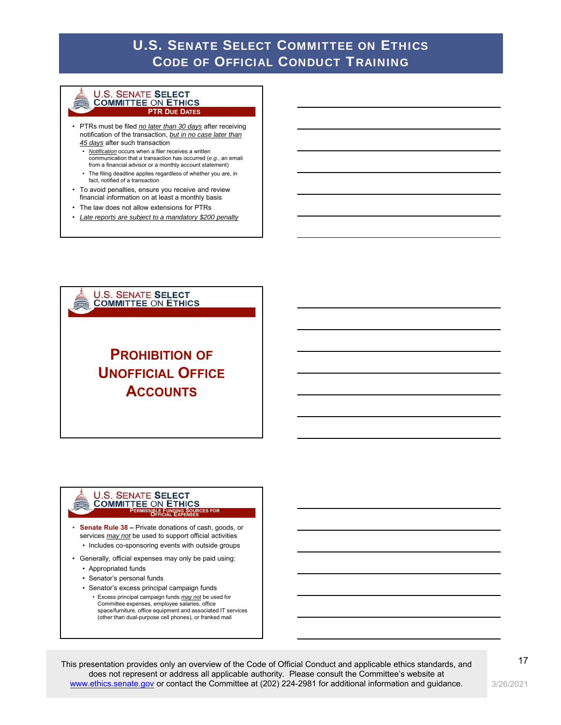#### **U.S. SENATE SELECT COMMITTEE ON ETHICS PTR DUE DATES**

- PTRs must be filed *no later than 30 days* after receiving notification of the transaction, *but in no case later than 45 days* after such transaction
	- *Notification* occurs when a filer receives a written communication that a transaction has occurred (*e.g.*, an email from a financial advisor or a monthly account statement)
	- The filing deadline applies regardless of whether you are, in fact, notified of a transaction
- To avoid penalties, ensure you receive and review financial information on at least a monthly basis
- The law does not allow extensions for PTRs
- *Late reports are subject to a mandatory \$200 penalty*

**U.S. SENATE SELECT COMMITTEE ON ETHICS** 

# **PROHIBITION OF UNOFFICIAL OFFICE ACCOUNTS**

### **U.S. SENATE SELECT PERMISSIBLE FUNDING SOURCES FOR OFFICIAL EXPENSES**

- **Senate Rule 38 –** Private donations of cash, goods, or services *may not* be used to support official activities • Includes co-sponsoring events with outside groups
	-
- Generally, official expenses may only be paid using:
	- Appropriated funds

**THE REAL** 

- Senator's personal funds
- Senator's excess principal campaign funds • Excess principal campaign funds *may not* be used for
	- Committee expenses, employee salaries, office space/furniture, office equipment and associated IT services (other than dual-purpose cell phones), or franked mail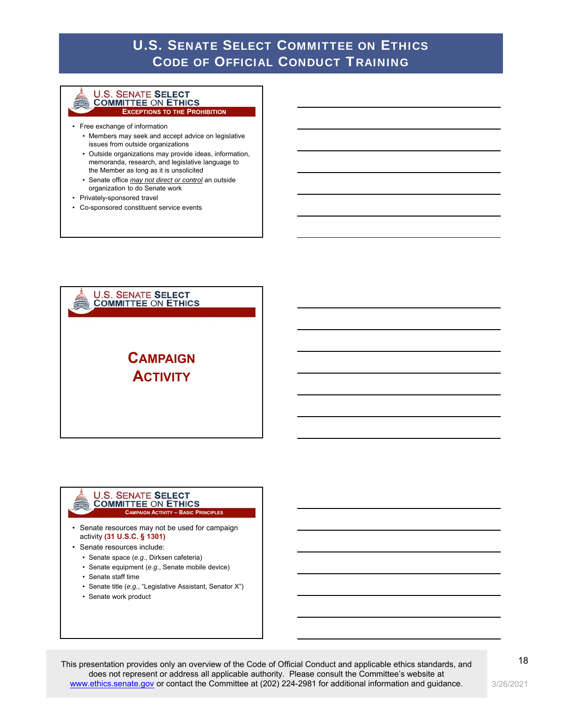#### **U.S. SENATE SELECT COMMITTEE ON ETHICS EXCEPTIONS TO THE PROHIBITION**

- Free exchange of information
	- Members may seek and accept advice on legislative issues from outside organizations
	- Outside organizations may provide ideas, information, memoranda, research, and legislative language to the Member as long as it is unsolicited
	- Senate office *may not direct or control* an outside organization to do Senate work
- Privately-sponsored travel
- Co-sponsored constituent service events



#### **U.S. SENATE SELECT COMMITTEE ON ETHICS CAMPAIGN ACTIVITY – BASIC PRINCIPLES**

- Senate resources may not be used for campaign activity **(31 U.S.C. § 1301)**
- Senate resources include:
	- Senate space (*e.g*., Dirksen cafeteria)
	- Senate equipment (*e.g*., Senate mobile device)
	- Senate staff time

**MARINE** 

- Senate title (*e.g.*, "Legislative Assistant, Senator X")
- Senate work product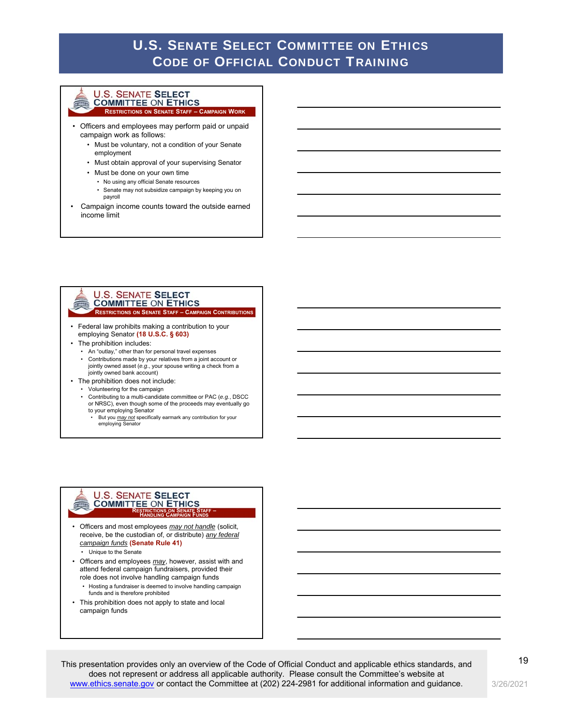#### **U.S. SENATE SELECT COMMITTEE ON ETHICS RESTRICTIONS ON SENATE STAFF – CAMPAIGN WORK**

- Officers and employees may perform paid or unpaid campaign work as follows:
	- Must be voluntary, not a condition of your Senate employment
	- Must obtain approval of your supervising Senator
	- Must be done on your own time
		- No using any official Senate resources
		- Senate may not subsidize campaign by keeping you on payroll
- Campaign income counts toward the outside earned income limit

#### **U.S. SENATE SELECT COMMITTEE ON ETHICS MITALITY**

### **RESTRICTIONS ON SENATE STAFF – CAMPAIGN CONTRIBUTIONS**

- Federal law prohibits making a contribution to your employing Senator **(18 U.S.C. § 603)**
	- The prohibition includes:
	- An "outlay," other than for personal travel expenses
	- Contributions made by your relatives from a joint account or jointly owned asset (*e.g*., your spouse writing a check from a jointly owned bank account)
- The prohibition does not include:
	- Volunteering for the campaign
	- Contributing to a multi-candidate committee or PAC (*e.g.*, DSCC or NRSC), even though some of the proceeds may eventually go to your employing Senator
		- But you *may not* specifically earmark any contribution for your employing Senator

#### **U.S. SENATE SELECT RESTRICTIONS ON SENATE STAFF – HANDLING CAMPAIGN FUNDSELECTRIC**

- Officers and most employees *may not handle* (solicit, receive, be the custodian of, or distribute) *any federal campaign funds* **(Senate Rule 41)**
	- Unique to the Senate
- Officers and employees *may*, however, assist with and attend federal campaign fundraisers, provided their role does not involve handling campaign funds
	- Hosting a fundraiser is deemed to involve handling campaign funds and is therefore prohibited
- This prohibition does not apply to state and local campaign funds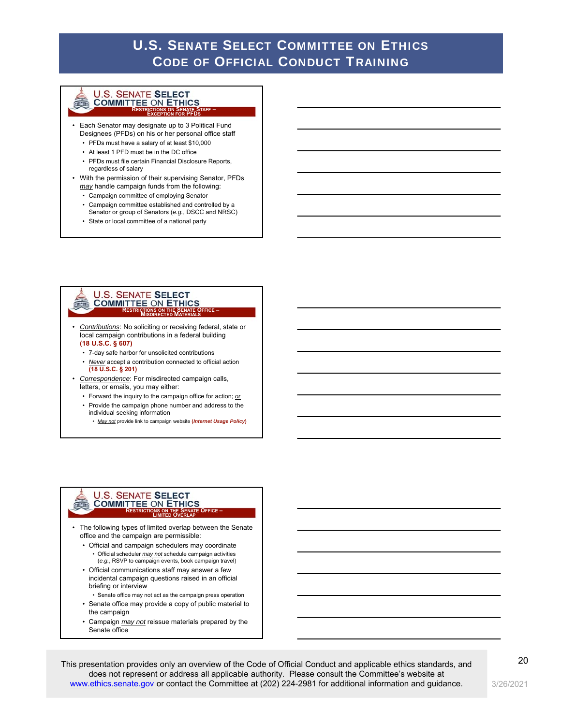#### **U.S. SENATE SELECT COMMITTEE ON ETHICS RESTRICTIONS ON SENATE STAFF – EXCEPTION FOR PFDS**

- Each Senator may designate up to 3 Political Fund Designees (PFDs) on his or her personal office staff
	- PFDs must have a salary of at least \$10,000
	- At least 1 PFD must be in the DC office
	- PFDs must file certain Financial Disclosure Reports, regardless of salary
- With the permission of their supervising Senator, PFDs *may* handle campaign funds from the following:
	- Campaign committee of employing Senator
	- Campaign committee established and controlled by a
	- Senator or group of Senators (*e.g.*, DSCC and NRSC)
	- State or local committee of a national party

### **U.S. SENATE SELECT RESTRICTIONS ON EXAMPLE ON ETHICS**

- *Contributions*: No soliciting or receiving federal, state or local campaign contributions in a federal building **(18 U.S.C. § 607)**
	- 7-day safe harbor for unsolicited contributions • *Never* accept a contribution connected to official action **(18 U.S.C. § 201)**
- *Correspondence*: For misdirected campaign calls, letters, or emails, you may either:
	- Forward the inquiry to the campaign office for action; *or*
	- Provide the campaign phone number and address to the individual seeking information
		- *May not* provide link to campaign website **(***Internet Usage Policy***)**

### **U.S. SENATE SELECT RESTRICTIONS ON THE SENATE OFFICE – LIMITED OVERLAP**

- The following types of limited overlap between the Senate office and the campaign are permissible:
	- Official and campaign schedulers may coordinate • Official scheduler *may not* schedule campaign activities (*e.g.*, RSVP to campaign events, book campaign travel)
	- Official communications staff may answer a few incidental campaign questions raised in an official briefing or interview
	- Senate office may not act as the campaign press operation • Senate office may provide a copy of public material to
	- the campaign
	- Campaign *may not* reissue materials prepared by the Senate office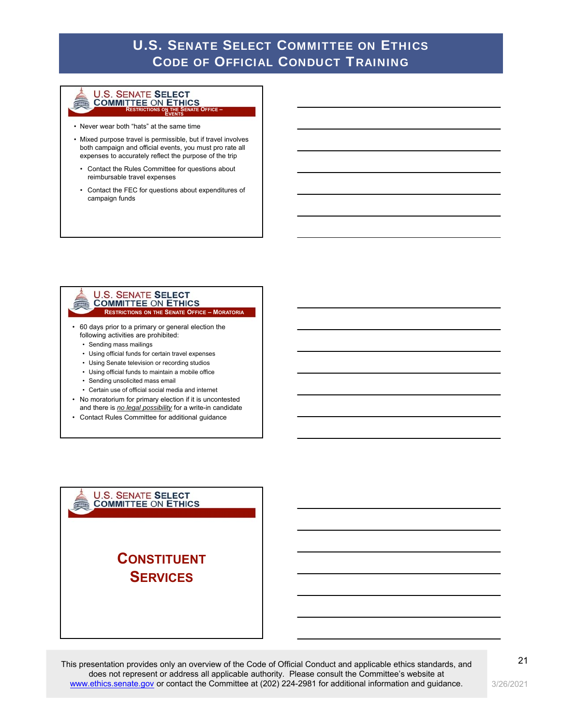### **U.S. SENATE SELECT COMMITTEE ON ETHICS RESTRICTIONS ON THE SENATE OFFICE – EVENTS**

• Never wear both "hats" at the same time

- Mixed purpose travel is permissible, but if travel involves both campaign and official events, you must pro rate all expenses to accurately reflect the purpose of the trip
- Contact the Rules Committee for questions about reimbursable travel expenses
- Contact the FEC for questions about expenditures of campaign funds

#### **U.S. SENATE SELECT COMMITTEE ON ETHICS MITALITY**

### **RESTRICTIONS ON THE SENATE OFFICE – MORATORIA**

- 60 days prior to a primary or general election the following activities are prohibited:
	- Sending mass mailings
	- Using official funds for certain travel expenses
	- Using Senate television or recording studios
	- Using official funds to maintain a mobile office
	- Sending unsolicited mass email
	- Certain use of official social media and internet
- No moratorium for primary election if it is uncontested and there is *no legal possibility* for a write-in candidate
- Contact Rules Committee for additional guidance

#### **U.S. SENATE SELECT COMMITTEE ON ETHICS** 美

# **CONSTITUENT SERVICES**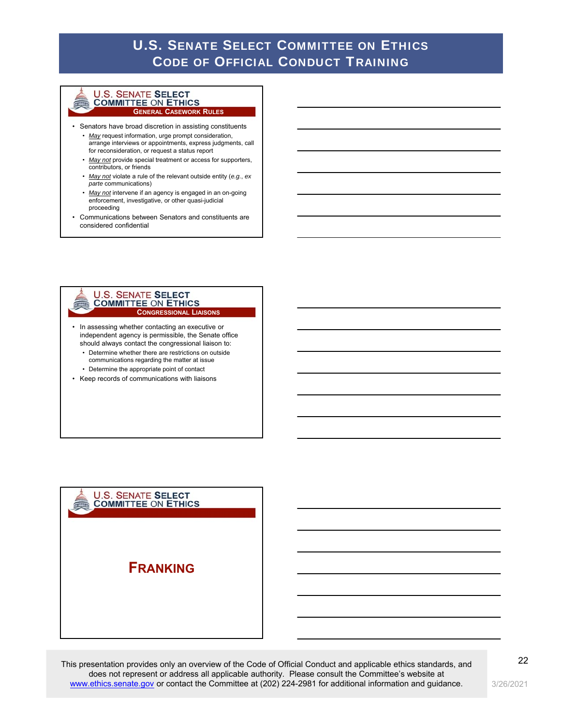#### **U.S. SENATE SELECT COMMITTEE ON ETHICS GENERAL CASEWORK RULES**

- Senators have broad discretion in assisting constituents • *May* request information, urge prompt consideration, arrange interviews or appointments, express judgments, call
	- for reconsideration, or request a status report • *May not* provide special treatment or access for supporters,
	- contributors, or friends • *May not* violate a rule of the relevant outside entity (*e.g.*, *ex*
	- *parte* communications)
	- *May not* intervene if an agency is engaged in an on-going enforcement, investigative, or other quasi-judicial proceeding
- Communications between Senators and constituents are considered confidential

#### **U.S. SENATE SELECT COMMITTEE ON ETHICS CONGRESSIONAL LIAISONS**

- In assessing whether contacting an executive or independent agency is permissible, the Senate office should always contact the congressional liaison to:
	- Determine whether there are restrictions on outside communications regarding the matter at issue
	- Determine the appropriate point of contact

**THE REAL** 

美

• Keep records of communications with liaisons

# **FRANKING**

**U.S. SENATE SELECT COMMITTEE ON ETHICS**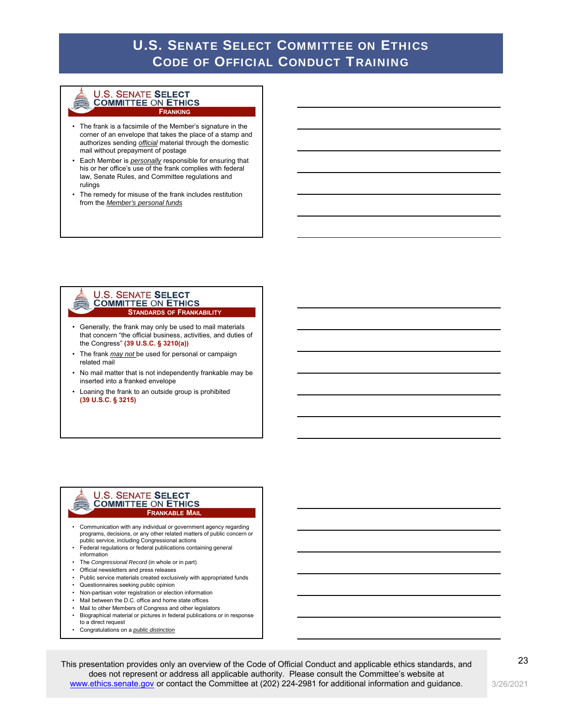#### **U.S. SENATE SELECT COMMITTEE ON ETHICS FRANKING**

- The frank is a facsimile of the Member's signature in the corner of an envelope that takes the place of a stamp and authorizes sending *official* material through the domestic mail without prepayment of postage
- Each Member is *personally* responsible for ensuring that his or her office's use of the frank complies with federal law, Senate Rules, and Committee regulations and rulings
- The remedy for misuse of the frank includes restitution from the *Member's personal funds*

#### **U.S. SENATE SELECT COMMITTEE ON ETHICS STANDARDS OF FRANKABILITY**

**THE REAL** 

T

- Generally, the frank may only be used to mail materials that concern "the official business, activities, and duties of the Congress" **(39 U.S.C. § 3210(a))**
- The frank *may not* be used for personal or campaign related mail
- No mail matter that is not independently frankable may be inserted into a franked envelope
- Loaning the frank to an outside group is prohibited **(39 U.S.C. § 3215)**

#### **U.S. SENATE SELECT COMMITTEE ON ETHICS FRANKABLE MAIL**

- Communication with any individual or government agency regarding programs, decisions, or any other related matters of public concern or public service, including Congressional actions
- Federal regulations or federal publications containing general information
- The *Congressional Record* (in whole or in part)
- Official newsletters and press releases
- Public service materials created exclusively with appropriated funds
- Questionnaires seeking public opinion
- Non-partisan voter registration or election information
- Mail between the D.C. office and home state offices
- Mail to other Members of Congress and other legislators
- Biographical material or pictures in federal publications or in response to a direct request
- Congratulations on a *public distinction*